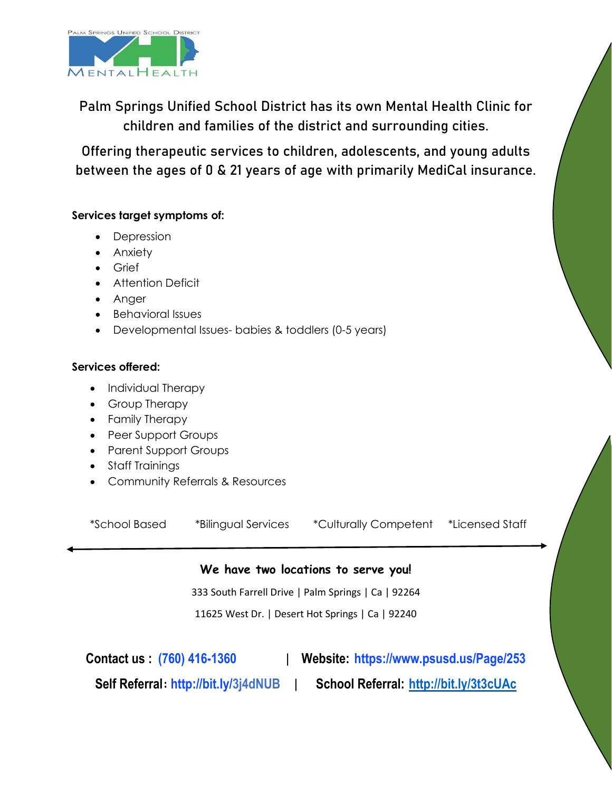

Palm Springs Unified School District has its own Mental Health Clinic for children and families of the district and surrounding cities.

Offering therapeutic services to children, adolescents, and young adults between the ages of 0 & 21 years of age with primarily MediCal insurance.

## **Services target symptoms of:**

- **Depression**
- Anxiety
- Grief
- Attention Deficit
- Anger
- Behavioral Issues
- Developmental Issues- babies & toddlers (0-5 years)

#### **Services offered:**

- Individual Therapy
- Group Therapy
- Family Therapy
- Peer Support Groups
- Parent Support Groups
- Staff Trainings
- Community Referrals & Resources

\*School Based \*Bilingual Services \*Culturally Competent \*Licensed Staff

# **We have two locations to serve you!**

333 South Farrell Drive | Palm Springs | Ca | 92264

11625 West Dr. | Desert Hot Springs | Ca | 92240

**Contact us : (760) 416-1360** | **Website: https://www.psusd.us/Page/253**

**Self Referral: <http://bit.ly/3j4dNUB>** | **School Referral: <http://bit.ly/3t3cUAc>**